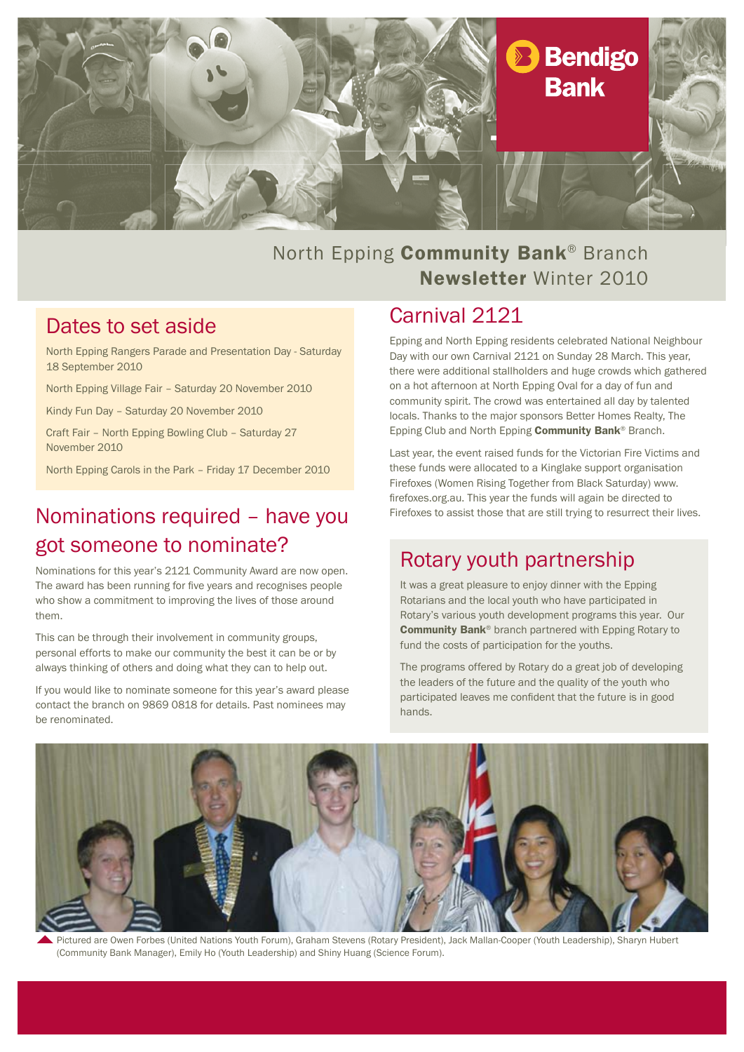

## North Epping Community Bank<sup>®</sup> Branch Newsletter Winter 2010

### Dates to set aside

North Epping Rangers Parade and Presentation Day - Saturday 18 September 2010

North Epping Village Fair – Saturday 20 November 2010

Kindy Fun Day – Saturday 20 November 2010

Craft Fair – North Epping Bowling Club – Saturday 27 November 2010

North Epping Carols in the Park – Friday 17 December 2010

## Nominations required – have you got someone to nominate?

Nominations for this year's 2121 Community Award are now open. The award has been running for five years and recognises people who show a commitment to improving the lives of those around them.

This can be through their involvement in community groups, personal efforts to make our community the best it can be or by always thinking of others and doing what they can to help out.

If you would like to nominate someone for this year's award please contact the branch on 9869 0818 for details. Past nominees may be renominated.

### Carnival 2121

Epping and North Epping residents celebrated National Neighbour Day with our own Carnival 2121 on Sunday 28 March. This year, there were additional stallholders and huge crowds which gathered on a hot afternoon at North Epping Oval for a day of fun and community spirit. The crowd was entertained all day by talented locals. Thanks to the major sponsors Better Homes Realty, The Epping Club and North Epping Community Bank® Branch.

Last year, the event raised funds for the Victorian Fire Victims and these funds were allocated to a Kinglake support organisation Firefoxes (Women Rising Together from Black Saturday) www. firefoxes.org.au. This year the funds will again be directed to Firefoxes to assist those that are still trying to resurrect their lives.

### Rotary youth partnership

It was a great pleasure to enjoy dinner with the Epping Rotarians and the local youth who have participated in Rotary's various youth development programs this year. Our Community Bank® branch partnered with Epping Rotary to fund the costs of participation for the youths.

The programs offered by Rotary do a great job of developing the leaders of the future and the quality of the youth who participated leaves me confident that the future is in good hands.



Pictured are Owen Forbes (United Nations Youth Forum), Graham Stevens (Rotary President), Jack Mallan-Cooper (Youth Leadership), Sharyn Hubert (Community Bank Manager), Emily Ho (Youth Leadership) and Shiny Huang (Science Forum).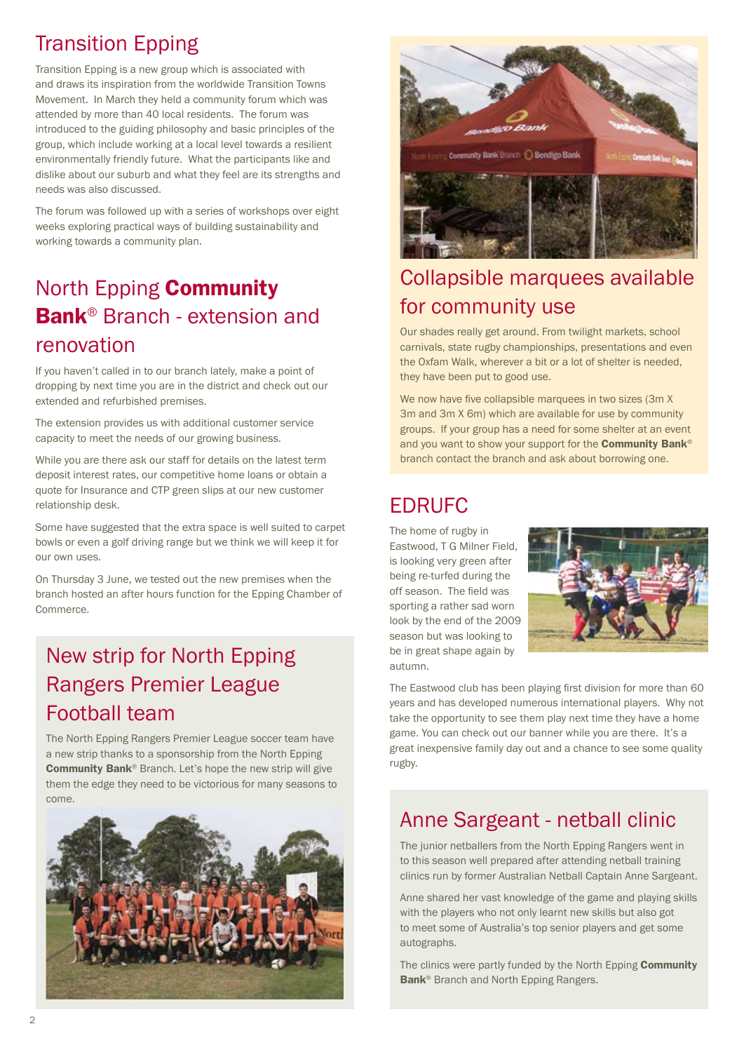# Transition Epping

Transition Epping is a new group which is associated with and draws its inspiration from the worldwide Transition Towns Movement. In March they held a community forum which was attended by more than 40 local residents. The forum was introduced to the guiding philosophy and basic principles of the group, which include working at a local level towards a resilient environmentally friendly future. What the participants like and dislike about our suburb and what they feel are its strengths and needs was also discussed.

The forum was followed up with a series of workshops over eight weeks exploring practical ways of building sustainability and working towards a community plan.

# North Epping Community Bank® Branch - extension and renovation

If you haven't called in to our branch lately, make a point of dropping by next time you are in the district and check out our extended and refurbished premises.

The extension provides us with additional customer service capacity to meet the needs of our growing business.

While you are there ask our staff for details on the latest term deposit interest rates, our competitive home loans or obtain a quote for Insurance and CTP green slips at our new customer relationship desk.

Some have suggested that the extra space is well suited to carpet bowls or even a golf driving range but we think we will keep it for our own uses.

On Thursday 3 June, we tested out the new premises when the branch hosted an after hours function for the Epping Chamber of Commerce.

# New strip for North Epping Rangers Premier League Football team

The North Epping Rangers Premier League soccer team have a new strip thanks to a sponsorship from the North Epping Community Bank® Branch. Let's hope the new strip will give them the edge they need to be victorious for many seasons to come.





# Collapsible marquees available for community use

Our shades really get around. From twilight markets, school carnivals, state rugby championships, presentations and even the Oxfam Walk, wherever a bit or a lot of shelter is needed, they have been put to good use.

We now have five collapsible marquees in two sizes (3m X) 3m and 3m X 6m) which are available for use by community groups. If your group has a need for some shelter at an event and you want to show your support for the **Community Bank**<sup>®</sup> branch contact the branch and ask about borrowing one.

## EDRUFC

The home of rugby in Eastwood, T G Milner Field, is looking very green after being re-turfed during the off season. The field was sporting a rather sad worn look by the end of the 2009 season but was looking to be in great shape again by autumn.



The Eastwood club has been playing first division for more than 60 years and has developed numerous international players. Why not take the opportunity to see them play next time they have a home game. You can check out our banner while you are there. It's a great inexpensive family day out and a chance to see some quality rugby.

## Anne Sargeant - netball clinic

The junior netballers from the North Epping Rangers went in to this season well prepared after attending netball training clinics run by former Australian Netball Captain Anne Sargeant.

Anne shared her vast knowledge of the game and playing skills with the players who not only learnt new skills but also got to meet some of Australia's top senior players and get some autographs.

The clinics were partly funded by the North Epping Community Bank<sup>®</sup> Branch and North Epping Rangers.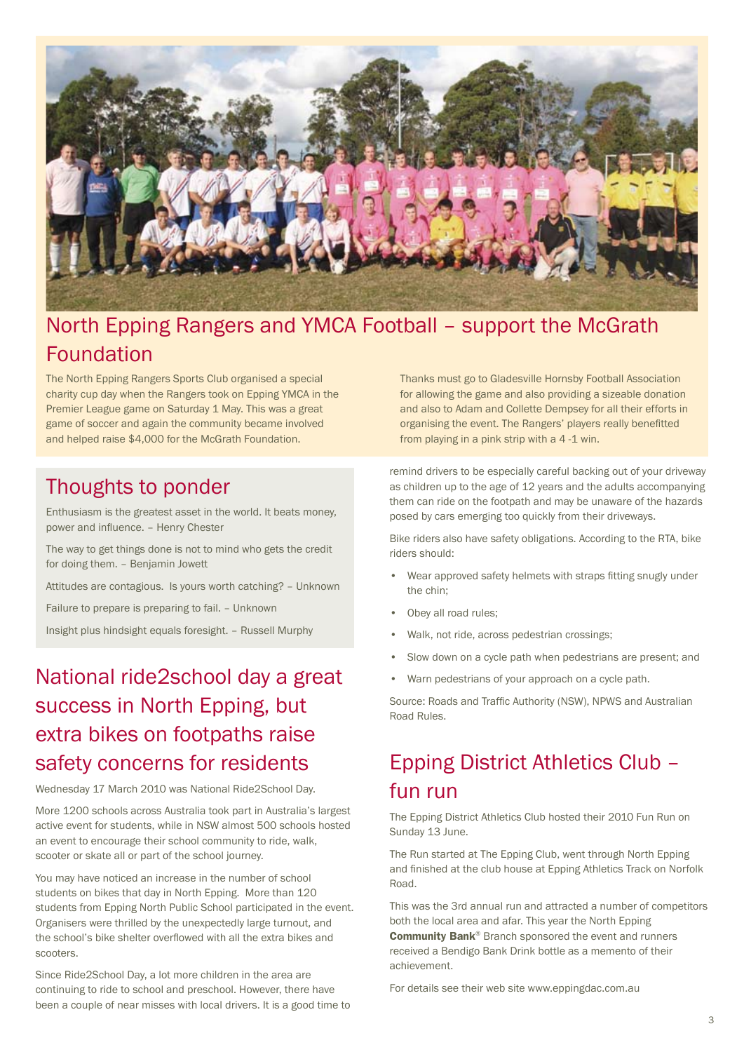

## North Epping Rangers and YMCA Football – support the McGrath Foundation

The North Epping Rangers Sports Club organised a special charity cup day when the Rangers took on Epping YMCA in the Premier League game on Saturday 1 May. This was a great game of soccer and again the community became involved and helped raise \$4,000 for the McGrath Foundation.

### Thoughts to ponder

Enthusiasm is the greatest asset in the world. It beats money, power and influence. – Henry Chester

The way to get things done is not to mind who gets the credit for doing them. – Benjamin Jowett

Attitudes are contagious. Is yours worth catching? – Unknown

Failure to prepare is preparing to fail. – Unknown

Insight plus hindsight equals foresight. – Russell Murphy

# National ride2school day a great success in North Epping, but extra bikes on footpaths raise safety concerns for residents

Wednesday 17 March 2010 was National Ride2School Day.

More 1200 schools across Australia took part in Australia's largest active event for students, while in NSW almost 500 schools hosted an event to encourage their school community to ride, walk, scooter or skate all or part of the school journey.

You may have noticed an increase in the number of school students on bikes that day in North Epping. More than 120 students from Epping North Public School participated in the event. Organisers were thrilled by the unexpectedly large turnout, and the school's bike shelter overflowed with all the extra bikes and scooters.

Since Ride2School Day, a lot more children in the area are continuing to ride to school and preschool. However, there have been a couple of near misses with local drivers. It is a good time to Thanks must go to Gladesville Hornsby Football Association for allowing the game and also providing a sizeable donation and also to Adam and Collette Dempsey for all their efforts in organising the event. The Rangers' players really benefitted from playing in a pink strip with a 4-1 win.

remind drivers to be especially careful backing out of your driveway as children up to the age of 12 years and the adults accompanying them can ride on the footpath and may be unaware of the hazards posed by cars emerging too quickly from their driveways.

Bike riders also have safety obligations. According to the RTA, bike riders should:

- Wear approved safety helmets with straps fitting snugly under the chin;
- Obey all road rules;
- Walk, not ride, across pedestrian crossings;
- Slow down on a cycle path when pedestrians are present; and
- Warn pedestrians of your approach on a cycle path.

Source: Roads and Traffic Authority (NSW), NPWS and Australian Road Rules.

# Epping District Athletics Club – fun run

The Epping District Athletics Club hosted their 2010 Fun Run on Sunday 13 June.

The Run started at The Epping Club, went through North Epping and finished at the club house at Epping Athletics Track on Norfolk Road.

This was the 3rd annual run and attracted a number of competitors both the local area and afar. This year the North Epping Community Bank® Branch sponsored the event and runners received a Bendigo Bank Drink bottle as a memento of their achievement.

For details see their web site www.eppingdac.com.au